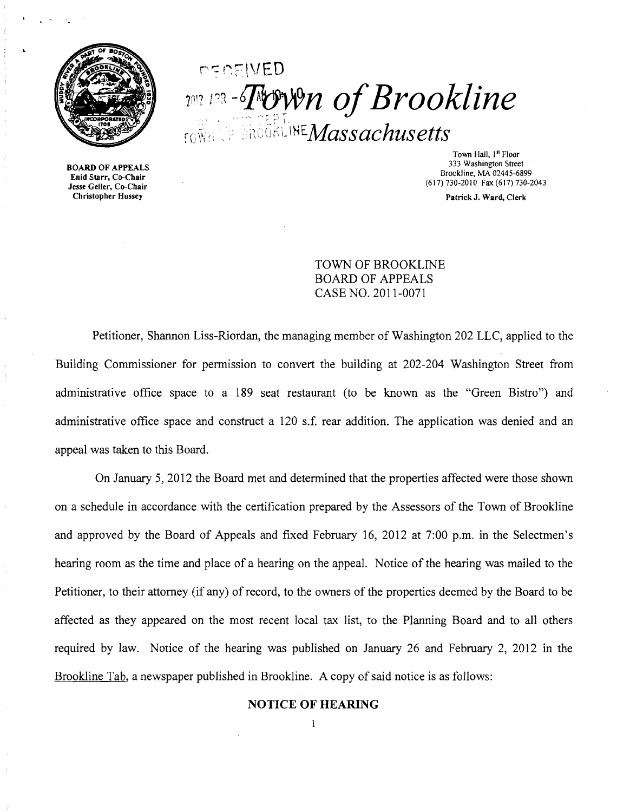

# $n$  $FIVED$  $201$  $\frac{1}{2}$ <sup>123</sup> - Town of Brookline  $\cdot$ <sub>rowa</sub> of srookline *Massachusetts*

BOARD OF APPEALS Enid Starr, Co-Chair Jesse Geller, Co-Chair

Town Hall, 1st Floor 333 Washington Street Brookline, MA 02445-6899 (617)730-2010 Fax (617)730-2043

Patrick J. Ward, Clerk

TOWN OF BROOKLINE BOARD OF APPEALS CASE NO. 2011-0071

Petitioner, Shannon Liss-Riordan, the managing member of Washington 202 LLC, applied to the Building Commissioner for permission to convert the building at 202-204 Washington Street from administrative office space to a 189 seat restaurant (to be known as the "Green Bistro") and administrative office space and construct a 120 s.f. rear addition. The application was denied and an appeal was taken to this Board.

On January 5, 2012 the Board met and determined that the properties affected were those shown on a schedule in accordance with the certification prepared by the Assessors of the Town of Brookline and approved by the Board of Appeals and fixed February 16, 2012 at 7:00 p.m. in the Selectmen's hearing room as the time and place of a hearing on the appeal. Notice of the hearing was mailed to the Petitioner, to their attorney (if any) of record, to the owners of the properties deemed by the Board to be affected as they appeared on the most recent local tax list, to the Planning Board and to all others required by law. Notice of the hearing was published on January 26 and February 2, 2012 in the Brookline Tab, a newspaper published in Brookline. A copy of said notice is as follows:

## NOTICE OF HEARING 1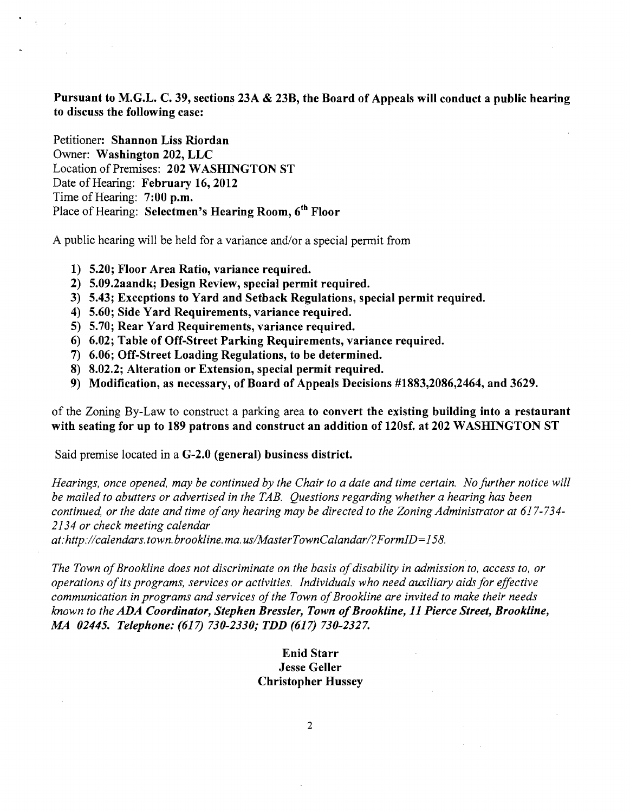Pursuant to M.G.L. C. 39, sections 23A & 23B, the Board of Appeals will conduct a public hearing to discuss the following case: .

Petitioner: Shannon Liss Riordan Owner: Washington 202, LLC Location of Premises: 202 WASHINGTON ST Date of Hearing: February 16, 2012 Time of Hearing: 7:00 p.m. Place of Hearing: Selectmen's Hearing Room, 6<sup>th</sup> Floor

A public hearing will be held for a variance and/or a special permit from

- 1) 5.20; Floor Area Ratio, variance required.
- 2) 5.09.2aandk; Design Review, special permit required.
- 3) 5.43; Exceptions to Yard and Setback Regulations, special permit required.
- 4) 5.60; Side Yard Requirements, variance required.
- 5) 5.70; Rear Yard Requirements, variance required.
- 6) 6.02; Table of Off-Street Parking Requirements, variance required.
- 7) 6.06; Off-Street Loading Regulations, to be determined.
- 8) 8.02.2; Alteration or Extension, special permit required.
- 9) Modification, as necessary, of Board of Appeals Decisions #1883,2086,2464, and 3629.

of the Zoning By-Law to construct a parking area to convert the existing building into a restaurant with seating for up to 189 patrons and construct an addition of 120sf. at 202 WASHINGTON ST

Said premise located in a G-2.0 (general) business district.

*Hearings, once opened, may be continued by the Chair to a date and time certain. No further notice will be mailed to abutters or advertised in the TAB. Questions regarding whether a hearing has been*  continued, or the date and time of any hearing may be directed to the Zoning Administrator at 617-734-*2134 or check meeting calendar* 

*at:http://calendars.town.brookline.ma.usIMasterTownCalandarl?FormID= 158.* 

The Town of Brookline does not discriminate on the basis of disability in admission to, access to, or *operations ofits programs, services or activities. Individuals who need auxiliary aids for effective communication in programs and services of the Town of Brookline are invited to make their needs known to the ADA Coordinator, Stephen Bressler, Town ofBrookline,* 11 *Pierce Street, Brookline, AU 02445. Telephone:* (617) *730-2330,. TDD* (617) *730-2327.* 

## Enid Starr Jesse Geller Christopher Hussey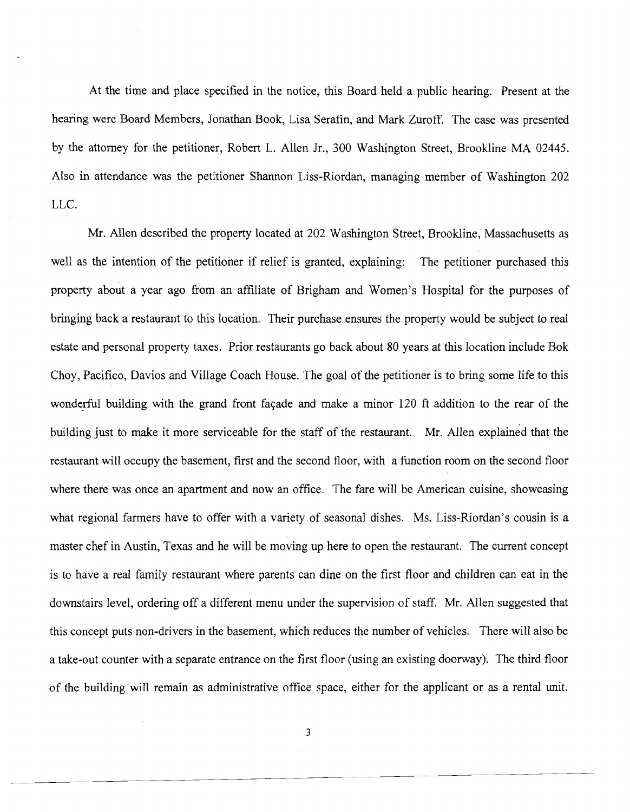At the time and place specified in the notice, this Board held a public hearing. Present at the hearing were Board Members, Jonathan Book, Lisa Serafin, and Mark Zuroff. The case was presented by the attorney for the petitioner, Robert L. Allen Jr., 300 Washington Street, Brookline MA 02445. Also in attendance was the petitioner Shannon Liss-Riordan, managing member of Washington 202 LLC.

Mr. Allen described the property located at 202 Washington Street, Brookline, Massachusetts as well as the intention of the petitioner if relief is granted, explaining: The petitioner purchased this property about a year ago from an affiliate of Brigham and Women's Hospital for the purposes of bringing back a restaurant to this location. Their purchase ensures the property would be subject to real estate and personal property taxes. Prior restaurants go back about 80 years at this location include Bok Choy, Pacifico, Davios and Village Coach House. The goal of the petitioner is to bring some life to this wonderful building with the grand front façade and make a minor 120 ft addition to the rear of the building just to make it more serviceable for the staff of the restaurant. Mr. Allen explained that the restaurant will occupy the basement, first and the second floor, with a function room on the second floor where there was once an apartment and now an office. The fare will be American cuisine, showcasing what regional farmers have to offer with a variety of seasonal dishes. Ms. Liss-Riordan's cousin is a master chef in Austin, Texas and he will be moving up here to open the restaurant. The current concept is to have a real family restaurant where parents can dine on the first floor and children can eat in the downstairs level, ordering off a different menu under the supervision of staff. Mr. Allen suggested that this concept puts non-drivers in the basement, which reduces the number of vehicles. There will also be a take-out counter with a separate entrance on the first floor (using an existing doorway). The third floor of the building will remain as administrative office space, either for the applicant or as a rental unit.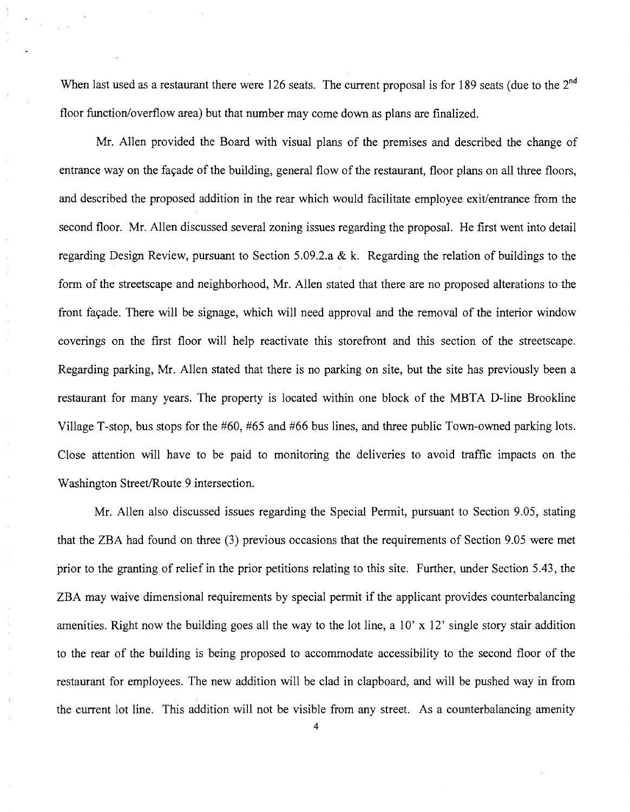When last used as a restaurant there were 126 seats. The current proposal is for 189 seats (due to the 2<sup>nd</sup> floor function/overflow area) but that number may come down as plans are finalized.

Mr. Allen provided the Board with visual plans of the premises and described the change of entrance way on the façade of the building, general flow of the restaurant, floor plans on all three floors, and described the proposed addition in the rear which would facilitate employee exit/entrance from the second floor. Mr. Allen discussed several zoning issues regarding the proposal. He first went into detail regarding Design Review, pursuant to Section 5.09.2.a & k. Regarding the relation of buildings to the fonn of the streetscape and neighborhood, Mr. Allen stated that there are no proposed alterations to the front façade. There will be signage, which will need approval and the removal of the interior window coverings on the first floor will help reactivate this storefront and this section of the streetscape. Regarding parking, Mr. Allen stated that there is no parking on site, but the site has previously been a restaurant for many years. The property is located within one block of the MBTA D-line Brookline Village T-stop, bus stops for the #60, #65 and #66 bus lines, and three public Town-owned parking lots. Close attention will have to be paid to monitoring the deliveries to avoid traffic impacts on the Washington Street/Route 9 intersection.

Mr. Allen also discussed issues regarding the Special Pennit, pursuant to Section 9.05, stating that the ZBA had found on three (3) previous occasions that the requirements of Section 9.05 were met prior to the granting of relief in the prior petitions relating to this site. Further, under Section 5.43, the ZBA may waive dimensional requirements by special pennit if the applicant provides counterbalancing amenities. Right now the building goes all the way to the lot line, a  $10' \times 12'$  single story stair addition to the rear of the building is being proposed to accommodate accessibility to the second floor of the restaurant for employees. The new addition will be clad in clapboard, and will be pushed way in from the current lot line. This addition will not be visible from any street. As a counterbalancing amenity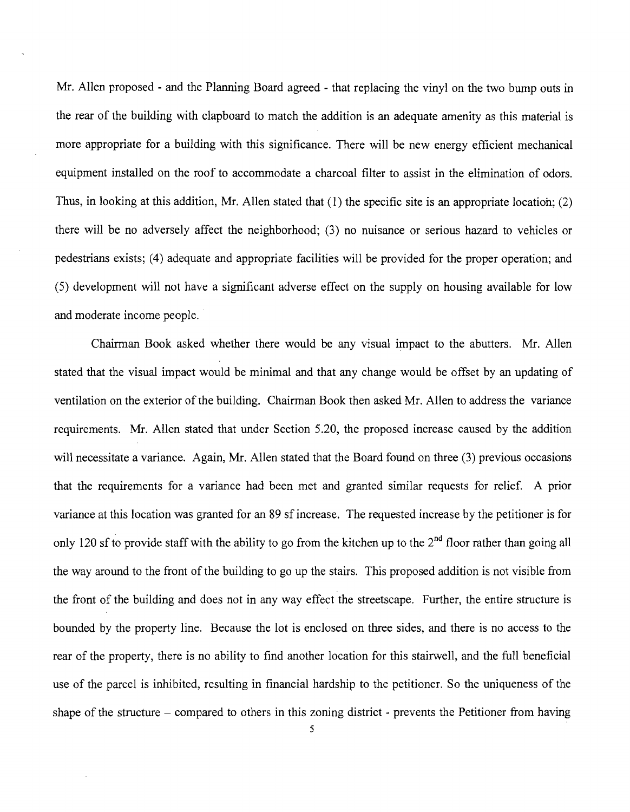Mr. Allen proposed - and the Planning Board agreed - that replacing the vinyl on the two bump outs in the rear of the building with clapboard to match the addition is an adequate amenity as this material is more appropriate for a building with this significance. There will be new energy efficient mechanical equipment installed on the roof to accommodate a charcoal filter to assist in the elimination of odors. Thus, in looking at this addition, Mr. Allen stated that (1) the specific site is an appropriate location; (2) there will be no adversely affect the neighborhood; (3) no nuisance or serious hazard to vehicles or pedestrians exists; (4) adequate and appropriate facilities will be provided for the proper operation; and (5) development will not have a significant adverse effect on the supply on housing available for low and moderate income people..

Chairman Book asked whether there would be any visual impact to the abutters. Mr. Allen stated that the visual impact would be minimal and that any change would be offset by an updating of ventilation on the exterior of the building. Chairman Book then asked Mr. Allen to address the variance requirements. Mr. Allen stated that under Section 5.20, the proposed increase caused by the addition will necessitate a variance. Again, Mr. Allen stated that the Board found on three (3) previous occasions that the requirements for a variance had been met and granted similar requests for relief. A prior variance at this location was granted for an 89 sf increase. The requested increase by the petitioner is for only 120 sf to provide staff with the ability to go from the kitchen up to the  $2^{nd}$  floor rather than going all the way around to the front of the building to go up the stairs. This proposed addition is not visible from the front of the building and does not in any way effect the streetscape. Further, the entire structure is bounded by the property line. Because the lot is enclosed on three sides, and there is no access to the rear of the property, there is no ability to find another location for this stairwell, and the full beneficial use of the parcel is inhibited, resulting in financial hardship to the petitioner. So the uniqueness of the shape of the structure  $-$  compared to others in this zoning district  $\cdot$  prevents the Petitioner from having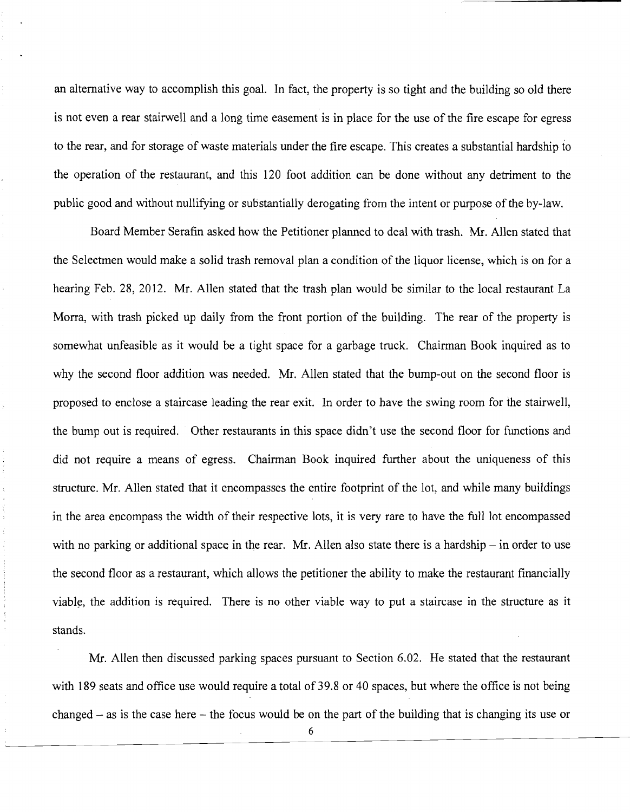an alternative way to accomplish this goal. In fact, the property is so tight and the building so old there is not even a rear stairwell and a long time easement is in place for the use of the fire escape for egress to the rear, and for storage of waste materials under the fire escape. This creates a substantial hardship to the operation of the restaurant, and this 120 foot addition can be done without any detriment to the public good and without nullifying or substantially derogating from the intent or purpose of the by-law.

Board Member Serafin asked how the Petitioner planned to deal with trash. Mr. Allen stated that the Selectmen would make a solid trash removal plan a condition of the liquor license, which is on for a hearing Feb. 28, 2012. Mr. Allen stated that the trash plan would be similar to the local restaurant La Morra, with trash picked up daily from the front portion of the building. The rear of the property is somewhat unfeasible as it would be a tight space for a garbage truck. Chairman Book inquired as to why the second floor addition was needed. Mr. Allen stated that the bump-out on the second floor is proposed to enclose a staircase leading the rear exit. In order to have the swing room for the stairwell, the bump out is required. Other restaurants in this space didn't use the second floor for functions and did not require a means of egress. Chairman Book inquired further about the uniqueness of this structure. Mr. Allen stated that it encompasses the entire footprint of the lot, and while many buildings in the area encompass the width of their respective lots, it is very rare to have the full lot encompassed with no parking or additional space in the rear. Mr. Allen also state there is a hardship  $-$  in order to use the second floor as a restaurant, which allows the petitioner the ability to make the restaurant financially viable, the addition is required. There is no other viable way to put a staircase in the structure as it stands.

Mr. Allen then discussed parking spaces pursuant to Section 6.02. He stated that the restaurant with 189 seats and office use would require a total of 39.8 or 40 spaces, but where the office is not being changed  $-$  as is the case here  $-$  the focus would be on the part of the building that is changing its use or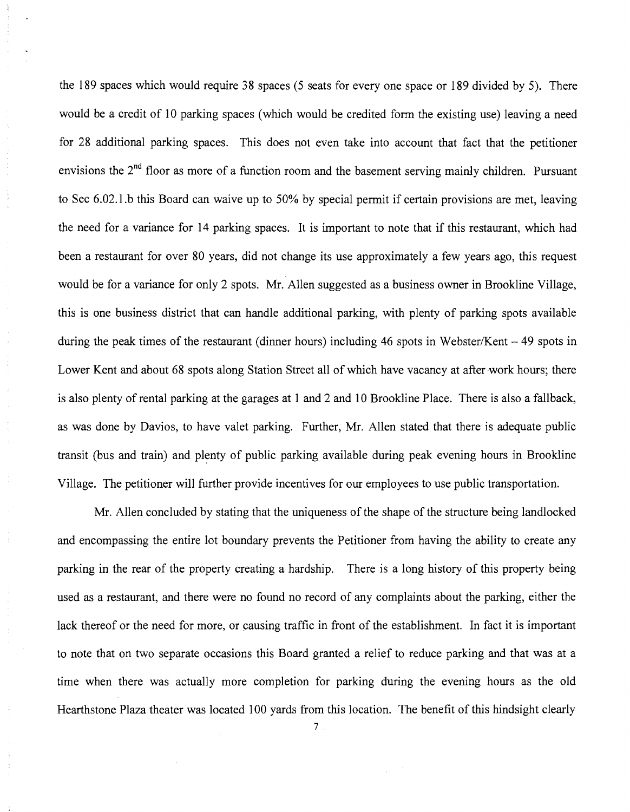the 189 spaces which would require 38 spaces (5 seats for every one space or 189 divided by 5). There would be a credit of 10 parking spaces (which would be credited form the existing use) leaving a need for 28 additional parking spaces. This does not even take into account that fact that the petitioner envisions the 2<sup>nd</sup> floor as more of a function room and the basement serving mainly children. Pursuant to Sec 6.02.l.b this Board can waive up to 50% by special pennit if certain provisions are met, leaving the need for a variance for 14 parking spaces. It is important to note that if this restaurant, which had been a restaurant for over 80 years, did not change its use approximately a few years ago, this request would be for a variance for only 2 spots. Mr. Allen suggested as a business owner in Brookline Village, this is one business district that can handle additional parking, with plenty of parking spots available during the peak times of the restaurant (dinner hours) including 46 spots in Webster/Kent  $-49$  spots in Lower Kent and about 68 spots along Station Street all of which have vacancy at after work hours; there is also plenty of rental parking at the garages at 1 and 2 and 10 Brookline Place. There is also a fallback, as was done by Davios, to have valet parking. Further, Mr. Allen stated that there is adequate public transit (bus and train) and plenty of public parking available during peak evening hours in Brookline Village. The petitioner will further provide incentives for our employees to use public transportation.

Mr. Allen concluded by stating that the uniqueness of the shape of the structure being landlocked and encompassing the entire lot boundary prevents the Petitioner from having the ability to create any parking in the rear of the property creating a hardship. There is a long history of this property being used as a restaurant, and there were no found no record of any complaints about the parking, either the lack thereof or the need for more, or causing traffic in front of the establishment. In fact it is important to note that on two separate occasions this Board granted a relief to reduce parking and that was at a time when there was actually more completion for parking during the evening hours as the old Hearthstone Plaza theater was located 100 yards from this location. The benefit of this hindsight clearly

7.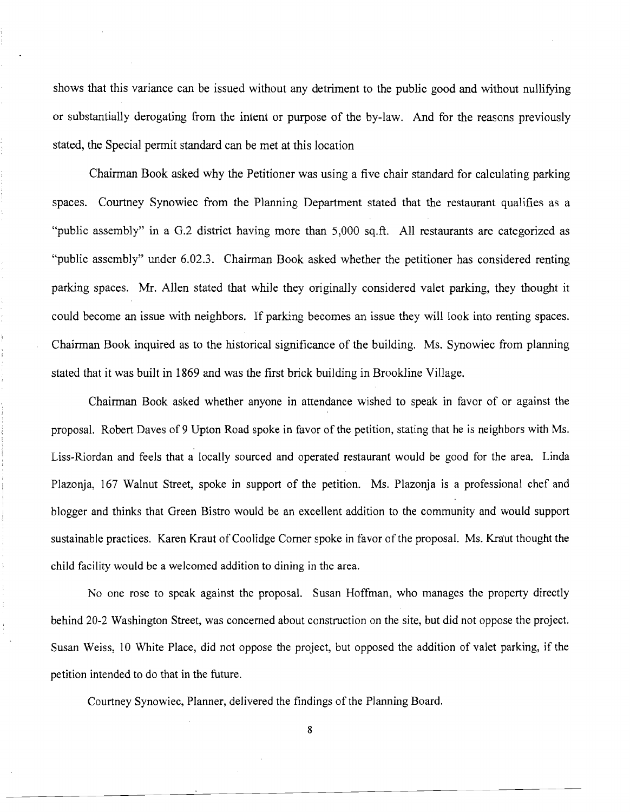shows that this variance can be issued without any detriment to the public good and without nullifying or substantially derogating from the intent or purpose of the by-law. And for the reasons previously stated, the Special permit standard can be met at this location

Chairman Book asked why the Petitioner was using a five chair standard for calculating parking spaces. Courtney Synowiec from the Planning Department stated that the restaurant qualifies as a "public assembly" in a G.2 district having more than 5,000 sq.ft. All restaurants are categorized as "public assembly" under 6.02.3. Chairman Book asked whether the petitioner has considered renting parking spaces. Mr. Allen stated that while they originally considered valet parking, they thought it could become an issue with neighbors. If parking becomes an issue they will look into renting spaces. Chairman Book inquired as to the historical significance of the building. Ms. Synowiec from planning stated that it was built in 1869 and was the first brick building in Brookline Village.

Chairman Book asked whether anyone in attendance wished to speak in favor of or against the proposal. Robert Daves of 9 Upton Road spoke in favor of the petition, stating that he is neighbors with Ms. Liss-Riordan and feels that a locally sourced and operated restaurant would be good for the area. Linda Plazonja, 167 Walnut Street, spoke in support of the petition. Ms. Plazonja is a professional chef and blogger and thinks that Green Bistro would be an excellent addition to the community and would support sustainable practices. Karen Kraut of Coolidge Corner spoke in favor of the proposal. Ms. Kraut thought the child facility would be a welcomed addition to dining in the area.

No one rose to speak against the proposal. Susan Hoffman, who manages the property directly behind 20-2 Washington Street, was concerned about construction on the site, but did not oppose the project. Susan Weiss, 10 White Place, did not oppose the project, but opposed the addition of valet parking, if the petition intended to do that in the future.

Courtney Synowiec, Planner, delivered the findings of the Planning Board.

8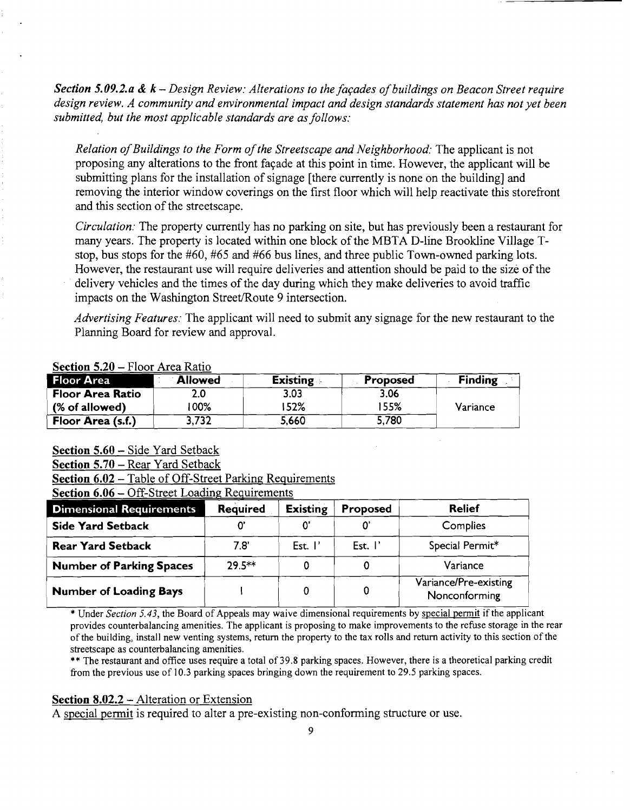*Section 5.09.2.a & k – Design Review: Alterations to the facades of buildings on Beacon Street require design review. A community and environmental impact and design standards statement has not yet been submitted, but the most applicable standards are as follows:* 

*Relation ofBuildings to the Form ofthe Streetscape and Neighborhood:* The applicant is not proposing any alterations to the front fayade at this point in time. However, the applicant will be submitting plans for the installation of signage [there currently is none on the building] and removing the interior window coverings on the first floor which will help reactivate this storefront and this section of the streetscape.

*Circulation:* The property currently has no parking on site, but has previously been a restaurant for many years. The property is located within one block of the MBTA D-line Brookline Village Tstop, bus stops for the #60, #65 and #66 bus lines, and three public Town-owned parking lots. However, the restaurant use will require deliveries and attention should be paid to the size of the delivery vehicles and the times of the day during which they make deliveries to avoid traffic impacts on the Washington Street/Route 9 intersection.

*Advertising Features:* The applicant will need to submit any signage for the new restaurant to the Planning Board for review and approval.

| Floor Area              | <b>Allowed</b> | <b>Existing</b> | <b>Proposed</b> | <b>Finding</b> |
|-------------------------|----------------|-----------------|-----------------|----------------|
| <b>Floor Area Ratio</b> |                | 3.03            | 3.06            |                |
| (% of allowed)          | 00%            | 52%             | 55%             | Variance       |
| Floor Area (s.f.)       | 3.732          | 5,660           | 5,780           |                |

### Section  $5.20$  – Floor, Area Ratio.

Section 5.60 – Side Yard Setback

Section 6.02 – Table of Off-Street Parking Requirements

Section 6.06 - Off-Street Loading Requirements

| <b>Dimensional Requirements</b> | <b>Required</b> | <b>Existing</b>    | Proposed           | <b>Relief</b>                          |
|---------------------------------|-----------------|--------------------|--------------------|----------------------------------------|
| <b>Side Yard Setback</b>        |                 | ω,                 |                    | Complies                               |
| <b>Rear Yard Setback</b>        | 7.8'            | Est. $\mathsf{I}'$ | Est. $\mathsf{I}'$ | Special Permit*                        |
| <b>Number of Parking Spaces</b> | $79.5***$       |                    |                    | Variance                               |
| <b>Number of Loading Bays</b>   |                 |                    |                    | Variance/Pre-existing<br>Nonconforming |

\* Under *Section* 5.43, the Board of Appeals may waive dimensional requirements by special pennit if the applicant provides counterbalancing amenities. The applicant is proposing to make improvements to the refuse storage in the rear of the building, install new venting systems, return the property to the tax rolls and return activity to this section of the streetscape as counterbalancing amenities.

\*\* The restaurant and office uses require a total of 39.8 parking spaces. However, there is a theoretical parking credit from the previous use of 10.3 parking spaces bringing down the requirement to 29.5 parking spaces.

### Section 8.02.2 – Alteration or Extension

A special permit is required to alter a pre-existing non-conforming structure or use.

Section 5.70 - Rear Yard Setback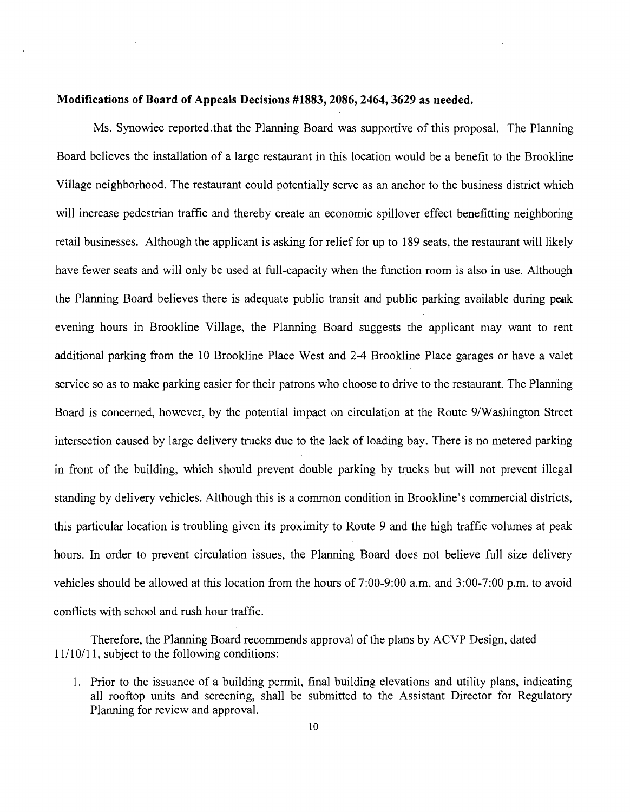#### **Modifications of Board of Appeals Decisions #1883, 2086, 2464, 3629 as needed.**

Ms. Synowiec reported.that the Planning Board was supportive of this proposal. The Planning Board believes the installation of a large restaurant in this location would be a benefit to the Brookline Village neighborhood. The restaurant could potentially serve as an anchor to the business district which will increase pedestrian traffic and thereby create an economic spillover effect benefitting neighboring retail businesses. Although the applicant is asking for relief for up to 189 seats, the restaurant will likely have fewer seats and will only be used at full-capacity when the function room is also in use. Although the Planning Board believes there is adequate public transit and public parking available during peak evening hours in Brookline Village, the Planning Board suggests the applicant may want to rent additional parking from the 10 Brookline Place West and 2-4 Brookline Place garages or have a valet service so as to make parking easier for their patrons who choose to drive to the restaurant. The Planning Board is concerned, however, by the potential impact on circulation at the Route 9/Washington Street intersection caused by large delivery trucks due to the lack of loading bay. There is no metered parking in front of the building, which should prevent double parking by trucks but will not prevent illegal standing by delivery vehicles. Although this is a common condition in Brookline's commercial districts, this particular location is troubling given its proximity to Route 9 and the high traffic volumes at peak hours. In order to prevent circulation issues, the Planning Board does not believe full size delivery vehicles should be allowed at this location from the hours of 7:00-9:00 a.m. and 3:00-7:00 p.m. to avoid conflicts with school and rush hour traffic.

Therefore, the Planning Board recommends approval of the plans by ACVP Design, dated 11/10/11, subject to the following conditions:

1. Prior to the issuance of a building permit, final building elevations and utility plans, indicating all rooftop units and screening, shall be submitted to the Assistant Director for Regulatory Planning for review and approval.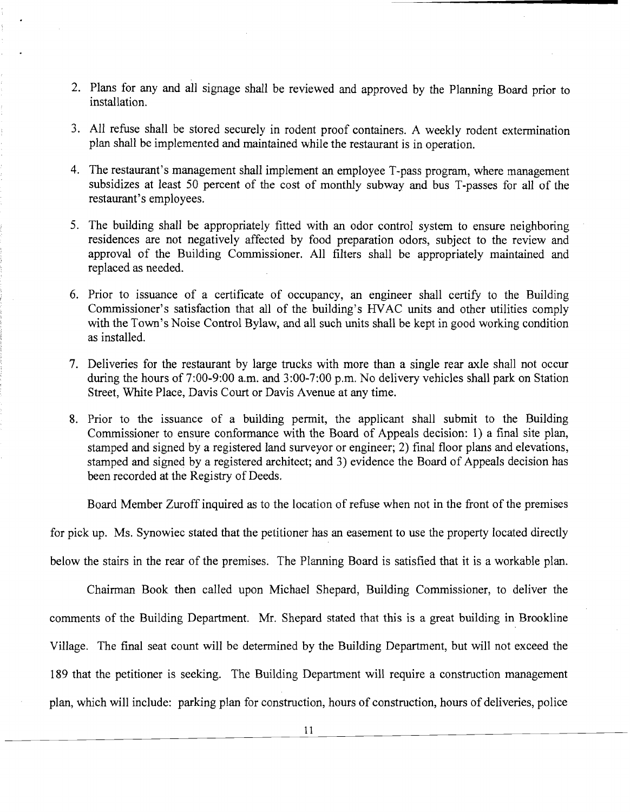- 2. Plans for any and all signage shall be reviewed and approved by the Planning Board prior to installation.
- 3. All refuse shall be stored securely in rodent proof containers. A weekly rodent extermination plan shall be implemented and maintained while the restaurant is in operation.
- 4. The restaurant's management shall implement an employee T-pass program, where management subsidizes at least 50 percent of the cost of monthly subway and bus T-passes for all of the restaurant's employees.
- 5. The building shall be appropriately fitted with an odor control system to ensure neighboring residences are not negatively affected by food preparation odors, subject to the review and approval of the Building Commissioner. All filters shall be appropriately maintained and replaced as needed.
- 6. Prior to issuance of a certificate of occupancy, an engineer shall certify to the Building Commissioner's satisfaction that all of the building's HVAC units and other utilities comply with the Town's Noise Control Bylaw, and all such units shall be kept in good working condition as installed.
- 7. Deliveries for the restaurant by large trucks with more than a single rear axle shall not occur during the hours of 7:00-9:00 a.m. and 3:00-7:00 p.m. No delivery vehicles shall park on Station Street, White Place, Davis Court or Davis Avenue at any time.
- 8. Prior to the issuance of a building permit, the applicant shall submit to the Building Commissioner to ensure conformance with the Board of Appeals decision: 1) a final site plan, stamped and signed by a registered land surveyor or engineer; 2) final floor plans and elevations, stamped and signed by a registered architect; and 3) evidence the Board of Appeals decision has been recorded at the Registry of Deeds.

Board Member Zuroff inquired as to the location of refuse when not in the front of the premises

for pick up. Ms. Synowiec stated that the petitioner has an easement to use the property located directly

below the stairs in the rear of the premises. The Planning Board is satisfied that it is a workable plan.

Chairman Book then called upon Michael Shepard, Building Commissioner, to deliver the comments of the Building Department. Mr. Shepard stated that this is a great building in Brookline Village. The final seat count will be determined by the Building Department, but will not exceed the 189 that the petitioner is seeking. The Building Department will require a construction management plan, which will include: parking plan for construction, hours of construction, hours of deliveries, police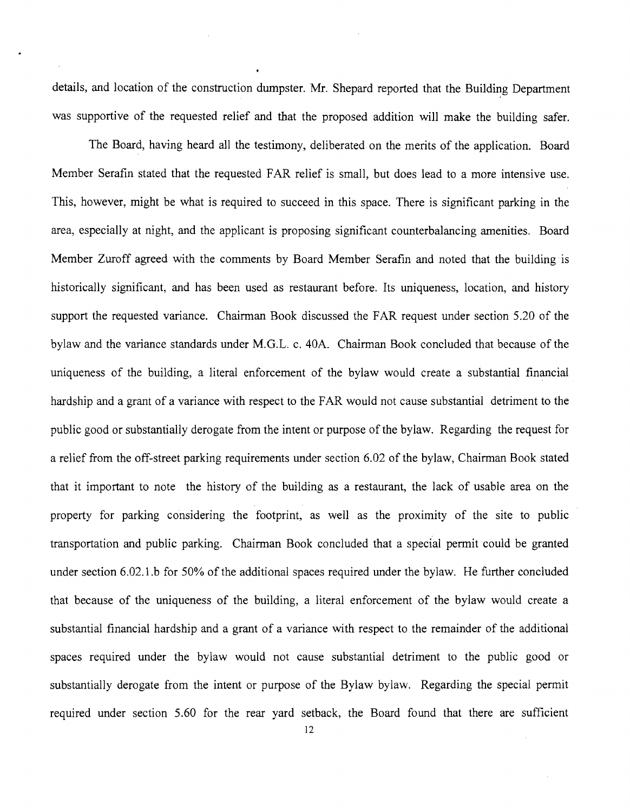details, and location of the construction dumpster. Mr. Shepard reported that the Building Department was supportive of the requested relief and that the proposed addition will make the building safer.

The Board, having heard all the testimony, deliberated on the merits of the application. Board Member Serafin stated that the requested FAR relief is small, but does lead to a more intensive use. This, however, might be what is required to succeed in this space. There is significant parking in the area, especially at night, and the applicant is proposing significant counterbalancing amenities. Board Member Zuroff agreed with the comments by Board Member Serafin and noted that the building· is historically significant, and has been used as restaurant before. Its uniqueness, location, and history support the requested variance. Chairman Book discussed the FAR request under section 5.20 of the bylaw and the variance standards under M.G.L. c. 40A. Chairman Book concluded that because of the uniqueness of the building, a literal enforcement of the bylaw would create a substantial financial hardship and a grant of a variance with respect to the FAR would not cause substantial detriment to the public good or substantially derogate from the intent or purpose of the bylaw. Regarding the request for a relief from the off-street parking requirements under section 6.02 of the bylaw, Chairman Book stated that it important to note the history of the building as a restaurant, the lack of usable area on the property for parking considering the footprint, as well as the proximity of the site to public transportation and public parking. Chairman Book concluded that a special permit could be granted under section 6.02.1.b for 50% of the additional spaces required under the bylaw. He further concluded that because of the uniqueness of the building, a literal enforcement of the bylaw would create a substantial financial hardship and a grant of a variance with respect to the remainder of the additional spaces required under the bylaw would not cause substantial detriment to the public good or substantially derogate from the intent or purpose of the Bylaw bylaw. Regarding the special permit required under section 5.60 for the rear yard setback, the Board found that there are sufficient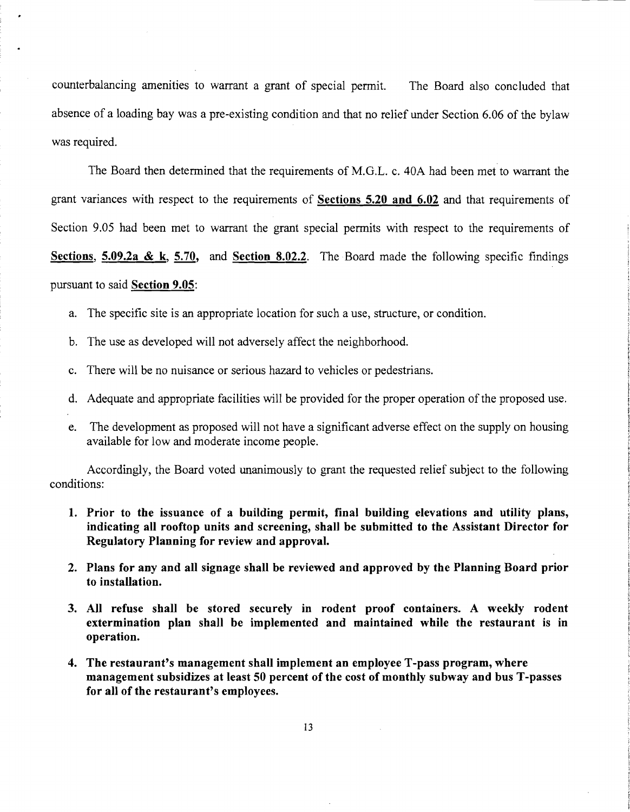counterbalancing amenities to warrant a grant of special permit. The Board also concluded that absence of a loading bay was a pre-existing condition and that no relief under Section 6.06 of the bylaw was required.

The Board then determined that the requirements of M.G.L. c. 40A had been met to warrant the grant variances with respect to the requirements of **Sections 5.20 and 6.02** and that requirements of Section 9.05 had been met to warrant the grant special permits with respect to the requirements of **Sections, 5.09.2a &** k, **5.70, and Section 8.02.2.** The Board made the following specific findings pursuant to said **Section 9.05:** 

- a. The specific site is an appropriate location for such a use, structure, or condition.
- b. The use as developed will not adversely affect the neighborhood.
- c. There will be no nuisance or serious hazard to vehicles or pedestrians.
- d. Adequate and appropriate facilities will be provided for the proper operation of the proposed use.
- e. The development as proposed will not have a significant adverse effect on the supply on housing available for low and moderate income people.

Accordingly, the Board voted unanimously to grant the requested relief subject to the following conditions:

- **1. Prior to the issuance of a building permit, final building elevations and utility plans, indicating all rooftop units and screening, shall be submitted to the Assistant Director for Regulatory Planning for review and approval.**
- **2. Plans for any and all signage shall be reviewed and approved by the Planning Board prior to installation.**
- **3. All refuse shall be stored securely in rodent proof containers. A weekly rodent extermination plan shall be implemented and maintained while the restaurant is in operation.**
- **4. The restaurant's management shall implement an employee T-pass program, where management subsidizes at least 50 percent of the cost of monthly subway and bus T-passes for all of the restaurant's employees.**

13